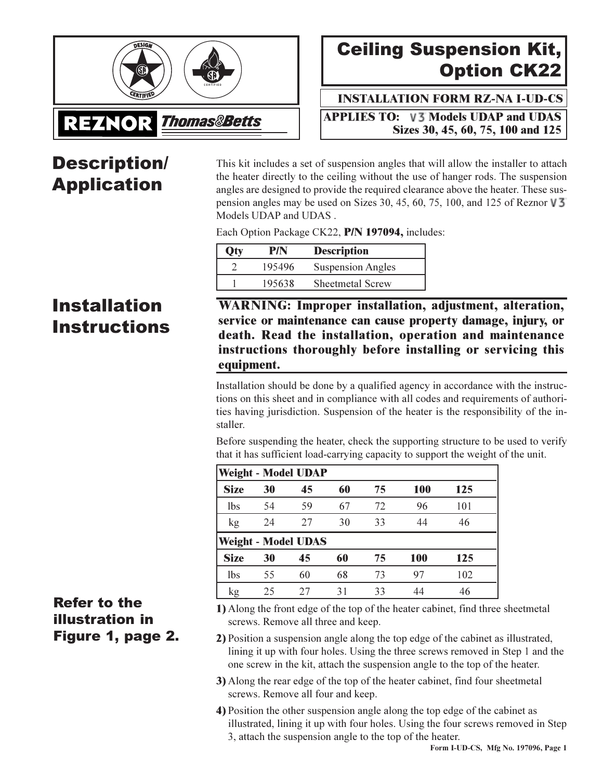

# **Ceiling Suspension Kit, Option CK22**

**INSTALLATION FORM RZ-NA I-UD-CS** 

**APPLIES TO: V3 Models UDAP and UDAS** Sizes 30, 45, 60, 75, 100 and 125

## **Description/ Application**

This kit includes a set of suspension angles that will allow the installer to attach the heater directly to the ceiling without the use of hanger rods. The suspension angles are designed to provide the required clearance above the heater. These suspension angles may be used on Sizes 30, 45, 60, 75, 100, and 125 of Reznor  $\sqrt{3}$ Models UDAP and UDAS.

Each Option Package CK22, P/N 197094, includes:

| Otv | P/N    | <b>Description</b>       |
|-----|--------|--------------------------|
|     | 195496 | <b>Suspension Angles</b> |
|     | 195638 | <b>Sheetmetal Screw</b>  |

### **Installation Instructions**

**WARNING: Improper installation, adjustment, alteration,** service or maintenance can cause property damage, injury, or death. Read the installation, operation and maintenance instructions thoroughly before installing or servicing this equipment.

Installation should be done by a qualified agency in accordance with the instructions on this sheet and in compliance with all codes and requirements of authorities having jurisdiction. Suspension of the heater is the responsibility of the installer.

Before suspending the heater, check the supporting structure to be used to verify that it has sufficient load-carrying capacity to support the weight of the unit.

| <b>Weight - Model UDAP</b> |    |                            |    |    |     |     |  |  |
|----------------------------|----|----------------------------|----|----|-----|-----|--|--|
| <b>Size</b>                | 30 | 45                         | 60 | 75 | 100 | 125 |  |  |
| <b>lbs</b>                 | 54 | 59                         | 67 | 72 | 96  | 101 |  |  |
| kg                         | 24 | 27                         | 30 | 33 | 44  | 46  |  |  |
|                            |    | <b>Weight - Model UDAS</b> |    |    |     |     |  |  |
| <b>Size</b>                | 30 | 45                         | 60 | 75 | 100 | 125 |  |  |
| lbs                        | 55 | 60                         | 68 | 73 | 97  | 102 |  |  |
|                            |    |                            |    |    |     |     |  |  |

### **Refer to the illustration in** Figure 1, page 2.

- 1) Along the front edge of the top of the heater cabinet, find three sheetmetal screws. Remove all three and keep.
- 2) Position a suspension angle along the top edge of the cabinet as illustrated, lining it up with four holes. Using the three screws removed in Step 1 and the one screw in the kit, attach the suspension angle to the top of the heater.
- 3) Along the rear edge of the top of the heater cabinet, find four sheetmetal screws. Remove all four and keep.
- 4) Position the other suspension angle along the top edge of the cabinet as illustrated, lining it up with four holes. Using the four screws removed in Step 3, attach the suspension angle to the top of the heater.